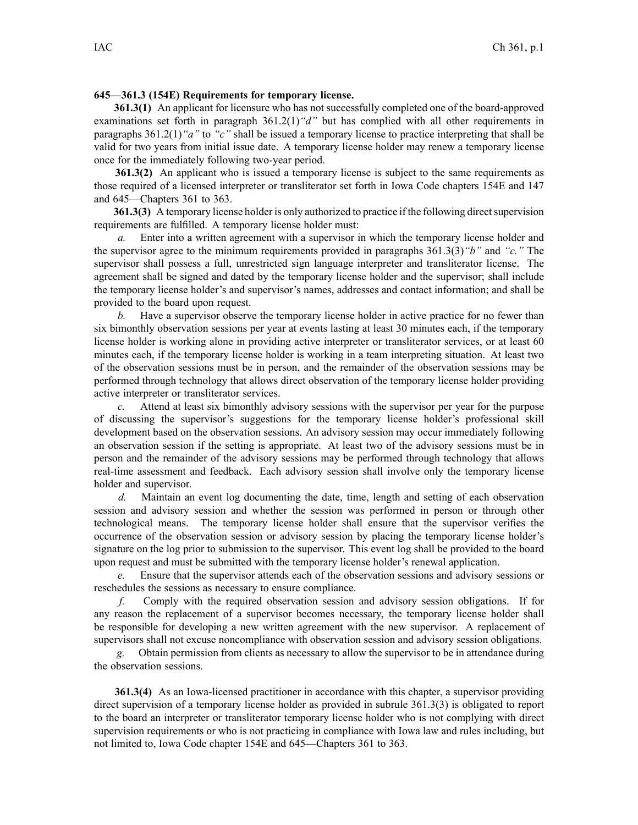## **645—361.3 (154E) Requirements for temporary license.**

**361.3(1)** An applicant for licensure who has not successfully completed one of the board-approved examinations set forth in paragraph [361.2\(1\)](https://www.legis.iowa.gov/docs/iac/rule/645.361.2.pdf)*"d"* but has complied with all other requirements in paragraphs [361.2\(1\)](https://www.legis.iowa.gov/docs/iac/rule/645.361.2.pdf)*"a"* to *"c"* shall be issued <sup>a</sup> temporary license to practice interpreting that shall be valid for two years from initial issue date. A temporary license holder may renew <sup>a</sup> temporary license once for the immediately following two-year period.

**361.3(2)** An applicant who is issued <sup>a</sup> temporary license is subject to the same requirements as those required of <sup>a</sup> licensed interpreter or transliterator set forth in Iowa Code chapters [154E](https://www.legis.iowa.gov/docs/ico/chapter/2016/154E.pdf) and [147](https://www.legis.iowa.gov/docs/ico/chapter/2016/147.pdf) and [645—Chapters](https://www.legis.iowa.gov/docs/iac/chapter/645.361.pdf) 361 to [363](https://www.legis.iowa.gov/docs/iac/chapter/645.363.pdf).

**361.3(3)** A temporary license holder is only authorized to practice if the following direct supervision requirements are fulfilled. A temporary license holder must:

Enter into a written agreement with a supervisor in which the temporary license holder and the supervisor agree to the minimum requirements provided in paragraphs [361.3\(3\)](https://www.legis.iowa.gov/docs/iac/rule/645.361.3.pdf)*"b"* and *"c."* The supervisor shall possess <sup>a</sup> full, unrestricted sign language interpreter and transliterator license. The agreemen<sup>t</sup> shall be signed and dated by the temporary license holder and the supervisor; shall include the temporary license holder's and supervisor's names, addresses and contact information; and shall be provided to the board upon request.

*b.* Have <sup>a</sup> supervisor observe the temporary license holder in active practice for no fewer than six bimonthly observation sessions per year at events lasting at least 30 minutes each, if the temporary license holder is working alone in providing active interpreter or transliterator services, or at least 60 minutes each, if the temporary license holder is working in <sup>a</sup> team interpreting situation. At least two of the observation sessions must be in person, and the remainder of the observation sessions may be performed through technology that allows direct observation of the temporary license holder providing active interpreter or transliterator services.

*c.* Attend at least six bimonthly advisory sessions with the supervisor per year for the purpose of discussing the supervisor's suggestions for the temporary license holder's professional skill development based on the observation sessions. An advisory session may occur immediately following an observation session if the setting is appropriate. At least two of the advisory sessions must be in person and the remainder of the advisory sessions may be performed through technology that allows real-time assessment and feedback. Each advisory session shall involve only the temporary license holder and supervisor.

*d.* Maintain an event log documenting the date, time, length and setting of each observation session and advisory session and whether the session was performed in person or through other technological means. The temporary license holder shall ensure that the supervisor verifies the occurrence of the observation session or advisory session by placing the temporary license holder's signature on the log prior to submission to the supervisor. This event log shall be provided to the board upon reques<sup>t</sup> and must be submitted with the temporary license holder's renewal application.

*e.* Ensure that the supervisor attends each of the observation sessions and advisory sessions or reschedules the sessions as necessary to ensure compliance.

*f.* Comply with the required observation session and advisory session obligations. If for any reason the replacement of <sup>a</sup> supervisor becomes necessary, the temporary license holder shall be responsible for developing <sup>a</sup> new written agreemen<sup>t</sup> with the new supervisor. A replacement of supervisors shall not excuse noncompliance with observation session and advisory session obligations.

*g.* Obtain permission from clients as necessary to allow the supervisor to be in attendance during the observation sessions.

**361.3(4)** As an Iowa-licensed practitioner in accordance with this chapter, <sup>a</sup> supervisor providing direct supervision of <sup>a</sup> temporary license holder as provided in subrule [361.3\(3\)](https://www.legis.iowa.gov/docs/iac/rule/645.361.3.pdf) is obligated to repor<sup>t</sup> to the board an interpreter or transliterator temporary license holder who is not complying with direct supervision requirements or who is not practicing in compliance with Iowa law and rules including, but not limited to, Iowa Code chapter [154E](https://www.legis.iowa.gov/docs/ico/chapter/2016/154E.pdf) and [645—Chapters](https://www.legis.iowa.gov/docs/iac/chapter/645.361.pdf) 361 to [363](https://www.legis.iowa.gov/docs/iac/chapter/645.363.pdf).